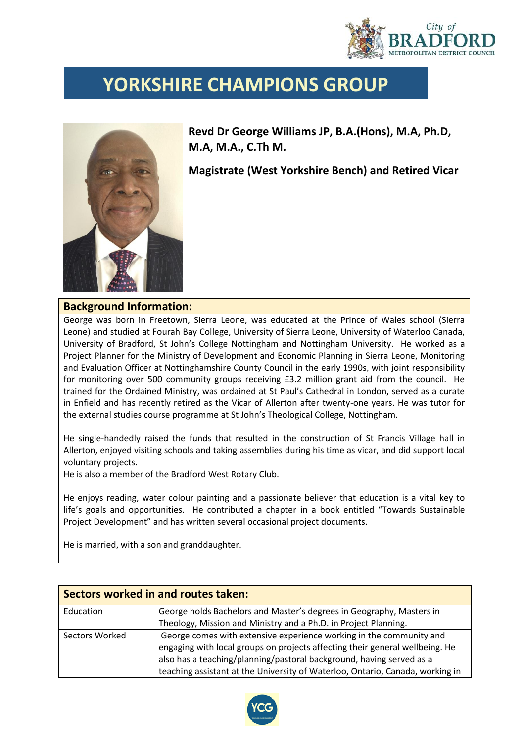

## **YORKSHIRE CHAMPIONS GROUP**



**Revd Dr George Williams JP, B.A.(Hons), M.A, Ph.D, M.A, M.A., C.Th M.**

**Magistrate (West Yorkshire Bench) and Retired Vicar**

## **Background Information:**

George was born in Freetown, Sierra Leone, was educated at the Prince of Wales school (Sierra Leone) and studied at Fourah Bay College, University of Sierra Leone, University of Waterloo Canada, University of Bradford, St John's College Nottingham and Nottingham University. He worked as a Project Planner for the Ministry of Development and Economic Planning in Sierra Leone, Monitoring and Evaluation Officer at Nottinghamshire County Council in the early 1990s, with joint responsibility for monitoring over 500 community groups receiving £3.2 million grant aid from the council. He trained for the Ordained Ministry, was ordained at St Paul's Cathedral in London, served as a curate in Enfield and has recently retired as the Vicar of Allerton after twenty-one years. He was tutor for the external studies course programme at St John's Theological College, Nottingham.

He single-handedly raised the funds that resulted in the construction of St Francis Village hall in Allerton, enjoyed visiting schools and taking assemblies during his time as vicar, and did support local voluntary projects.

He is also a member of the Bradford West Rotary Club.

He enjoys reading, water colour painting and a passionate believer that education is a vital key to life's goals and opportunities. He contributed a chapter in a book entitled "Towards Sustainable Project Development" and has written several occasional project documents.

He is married, with a son and granddaughter.

| Sectors worked in and routes taken: |                                                                                                                                                     |  |  |  |
|-------------------------------------|-----------------------------------------------------------------------------------------------------------------------------------------------------|--|--|--|
| Education                           | George holds Bachelors and Master's degrees in Geography, Masters in                                                                                |  |  |  |
|                                     | Theology, Mission and Ministry and a Ph.D. in Project Planning.                                                                                     |  |  |  |
| Sectors Worked                      | George comes with extensive experience working in the community and<br>engaging with local groups on projects affecting their general wellbeing. He |  |  |  |
|                                     | also has a teaching/planning/pastoral background, having served as a                                                                                |  |  |  |
|                                     | teaching assistant at the University of Waterloo, Ontario, Canada, working in                                                                       |  |  |  |